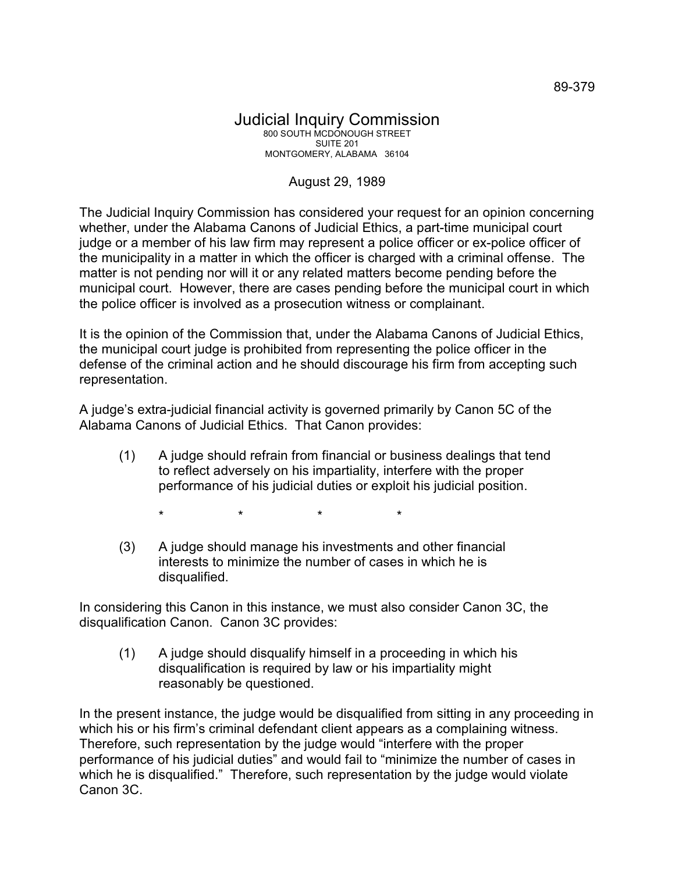## Judicial Inquiry Commission 800 SOUTH MCDONOUGH STREET SUITE 201 MONTGOMERY, ALABAMA 36104

## August 29, 1989

The Judicial Inquiry Commission has considered your request for an opinion concerning whether, under the Alabama Canons of Judicial Ethics, a part-time municipal court judge or a member of his law firm may represent a police officer or ex-police officer of the municipality in a matter in which the officer is charged with a criminal offense. The matter is not pending nor will it or any related matters become pending before the municipal court. However, there are cases pending before the municipal court in which the police officer is involved as a prosecution witness or complainant.

It is the opinion of the Commission that, under the Alabama Canons of Judicial Ethics, the municipal court judge is prohibited from representing the police officer in the defense of the criminal action and he should discourage his firm from accepting such representation.

A judge's extra-judicial financial activity is governed primarily by Canon 5C of the Alabama Canons of Judicial Ethics. That Canon provides:

(1) A judge should refrain from financial or business dealings that tend to reflect adversely on his impartiality, interfere with the proper performance of his judicial duties or exploit his judicial position.

\* \* \* \*

(3) A judge should manage his investments and other financial interests to minimize the number of cases in which he is disqualified.

In considering this Canon in this instance, we must also consider Canon 3C, the disqualification Canon. Canon 3C provides:

(1) A judge should disqualify himself in a proceeding in which his disqualification is required by law or his impartiality might reasonably be questioned.

In the present instance, the judge would be disqualified from sitting in any proceeding in which his or his firm's criminal defendant client appears as a complaining witness. Therefore, such representation by the judge would "interfere with the proper performance of his judicial duties" and would fail to "minimize the number of cases in which he is disqualified." Therefore, such representation by the judge would violate Canon 3C.